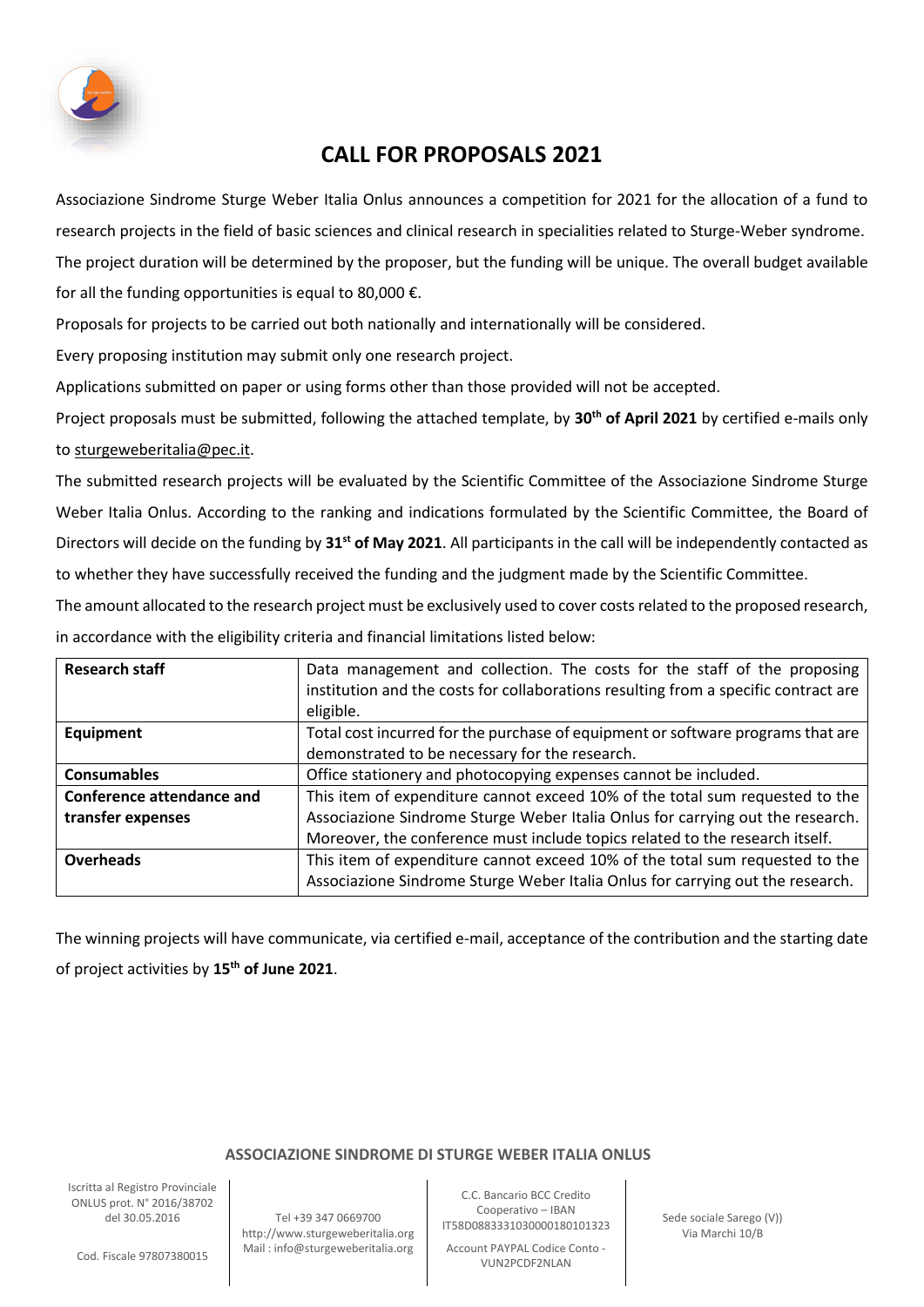

## **CALL FOR PROPOSALS 2021**

Associazione Sindrome Sturge Weber Italia Onlus announces a competition for 2021 for the allocation of a fund to research projects in the field of basic sciences and clinical research in specialities related to Sturge-Weber syndrome. The project duration will be determined by the proposer, but the funding will be unique. The overall budget available for all the funding opportunities is equal to 80,000  $\epsilon$ .

Proposals for projects to be carried out both nationally and internationally will be considered.

Every proposing institution may submit only one research project.

Applications submitted on paper or using forms other than those provided will not be accepted.

Project proposals must be submitted, following the attached template, by **30th of April 2021** by certified e-mails only to [sturgeweberitalia@pec.it.](mailto:sturgeweberitalia@pec.it)

The submitted research projects will be evaluated by the Scientific Committee of the Associazione Sindrome Sturge Weber Italia Onlus. According to the ranking and indications formulated by the Scientific Committee, the Board of Directors will decide on the funding by **31st of May 2021**. All participants in the call will be independently contacted as to whether they have successfully received the funding and the judgment made by the Scientific Committee.

The amount allocated to the research project must be exclusively used to cover costs related to the proposed research, in accordance with the eligibility criteria and financial limitations listed below:

| <b>Research staff</b>            | Data management and collection. The costs for the staff of the proposing<br>institution and the costs for collaborations resulting from a specific contract are<br>eligible. |
|----------------------------------|------------------------------------------------------------------------------------------------------------------------------------------------------------------------------|
| Equipment                        | Total cost incurred for the purchase of equipment or software programs that are<br>demonstrated to be necessary for the research.                                            |
| <b>Consumables</b>               | Office stationery and photocopying expenses cannot be included.                                                                                                              |
| <b>Conference attendance and</b> | This item of expenditure cannot exceed 10% of the total sum requested to the                                                                                                 |
| transfer expenses                | Associazione Sindrome Sturge Weber Italia Onlus for carrying out the research.<br>Moreover, the conference must include topics related to the research itself.               |
| <b>Overheads</b>                 | This item of expenditure cannot exceed 10% of the total sum requested to the<br>Associazione Sindrome Sturge Weber Italia Onlus for carrying out the research.               |

The winning projects will have communicate, via certified e-mail, acceptance of the contribution and the starting date of project activities by **15th of June 2021**.

## **ASSOCIAZIONE SINDROME DI STURGE WEBER ITALIA ONLUS**

Iscritta al Registro Provinciale ONLUS prot. N° 2016/38702

del 30.05.2016 Tel +39 347 0669700 http://www.sturgeweberitalia.org

C.C. Bancario BCC Credito Cooperativo – IBAN IT58D0883331030000180101323 Sede sociale Sarego (V))

- Mail : info@sturgeweberitalia.org | Account PAYPAL Codice Conto<br>ماده الدهالية المحوط المعلومات المعلومات المعلومات المعلومات المعلومات المعلومات المعلومات المعلومات المعلومات VUN2PCDF2NLAN

Via Marchi 10/B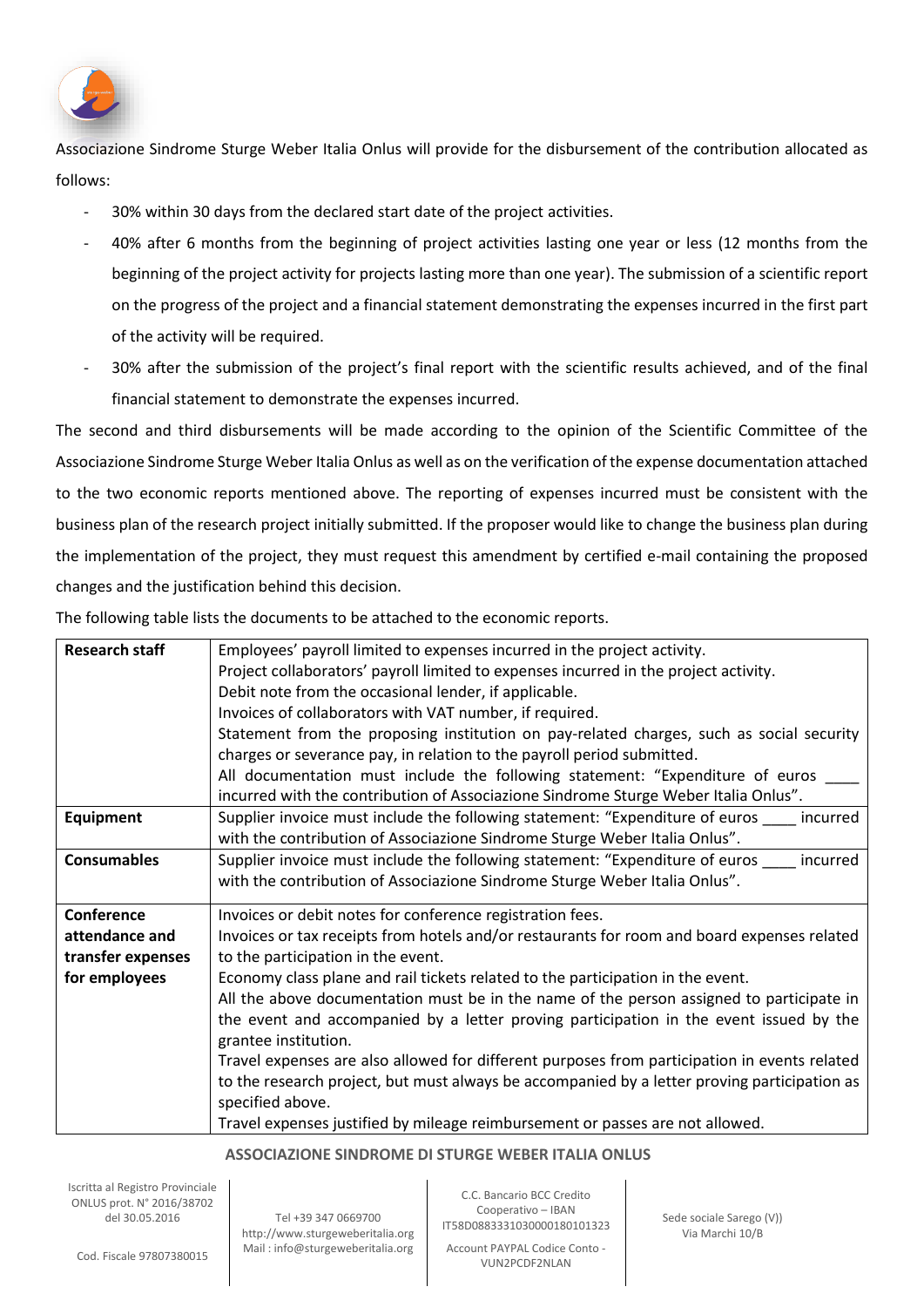

Associazione Sindrome Sturge Weber Italia Onlus will provide for the disbursement of the contribution allocated as follows:

- 30% within 30 days from the declared start date of the project activities.
- 40% after 6 months from the beginning of project activities lasting one year or less (12 months from the beginning of the project activity for projects lasting more than one year). The submission of a scientific report on the progress of the project and a financial statement demonstrating the expenses incurred in the first part of the activity will be required.
- 30% after the submission of the project's final report with the scientific results achieved, and of the final financial statement to demonstrate the expenses incurred.

The second and third disbursements will be made according to the opinion of the Scientific Committee of the Associazione Sindrome Sturge Weber Italia Onlus as well as on the verification of the expense documentation attached to the two economic reports mentioned above. The reporting of expenses incurred must be consistent with the business plan of the research project initially submitted. If the proposer would like to change the business plan during the implementation of the project, they must request this amendment by certified e-mail containing the proposed changes and the justification behind this decision.

The following table lists the documents to be attached to the economic reports.

| <b>Research staff</b><br>Employees' payroll limited to expenses incurred in the project activity.<br>Project collaborators' payroll limited to expenses incurred in the project activity.<br>Debit note from the occasional lender, if applicable.<br>Invoices of collaborators with VAT number, if required.<br>Statement from the proposing institution on pay-related charges, such as social security<br>charges or severance pay, in relation to the payroll period submitted.<br>All documentation must include the following statement: "Expenditure of euros _<br>incurred with the contribution of Associazione Sindrome Sturge Weber Italia Onlus".<br>Supplier invoice must include the following statement: "Expenditure of euros _____ incurred<br><b>Equipment</b><br>with the contribution of Associazione Sindrome Sturge Weber Italia Onlus".<br><b>Consumables</b><br>Supplier invoice must include the following statement: "Expenditure of euros incurred<br>with the contribution of Associazione Sindrome Sturge Weber Italia Onlus".<br>Conference<br>Invoices or debit notes for conference registration fees.<br>Invoices or tax receipts from hotels and/or restaurants for room and board expenses related<br>attendance and<br>to the participation in the event.<br>transfer expenses<br>for employees<br>Economy class plane and rail tickets related to the participation in the event.<br>All the above documentation must be in the name of the person assigned to participate in<br>the event and accompanied by a letter proving participation in the event issued by the<br>grantee institution.<br>Travel expenses are also allowed for different purposes from participation in events related |                                                                                              |
|--------------------------------------------------------------------------------------------------------------------------------------------------------------------------------------------------------------------------------------------------------------------------------------------------------------------------------------------------------------------------------------------------------------------------------------------------------------------------------------------------------------------------------------------------------------------------------------------------------------------------------------------------------------------------------------------------------------------------------------------------------------------------------------------------------------------------------------------------------------------------------------------------------------------------------------------------------------------------------------------------------------------------------------------------------------------------------------------------------------------------------------------------------------------------------------------------------------------------------------------------------------------------------------------------------------------------------------------------------------------------------------------------------------------------------------------------------------------------------------------------------------------------------------------------------------------------------------------------------------------------------------------------------------------------------------------------------------------------------------|----------------------------------------------------------------------------------------------|
|                                                                                                                                                                                                                                                                                                                                                                                                                                                                                                                                                                                                                                                                                                                                                                                                                                                                                                                                                                                                                                                                                                                                                                                                                                                                                                                                                                                                                                                                                                                                                                                                                                                                                                                                      |                                                                                              |
|                                                                                                                                                                                                                                                                                                                                                                                                                                                                                                                                                                                                                                                                                                                                                                                                                                                                                                                                                                                                                                                                                                                                                                                                                                                                                                                                                                                                                                                                                                                                                                                                                                                                                                                                      |                                                                                              |
|                                                                                                                                                                                                                                                                                                                                                                                                                                                                                                                                                                                                                                                                                                                                                                                                                                                                                                                                                                                                                                                                                                                                                                                                                                                                                                                                                                                                                                                                                                                                                                                                                                                                                                                                      |                                                                                              |
|                                                                                                                                                                                                                                                                                                                                                                                                                                                                                                                                                                                                                                                                                                                                                                                                                                                                                                                                                                                                                                                                                                                                                                                                                                                                                                                                                                                                                                                                                                                                                                                                                                                                                                                                      |                                                                                              |
|                                                                                                                                                                                                                                                                                                                                                                                                                                                                                                                                                                                                                                                                                                                                                                                                                                                                                                                                                                                                                                                                                                                                                                                                                                                                                                                                                                                                                                                                                                                                                                                                                                                                                                                                      |                                                                                              |
|                                                                                                                                                                                                                                                                                                                                                                                                                                                                                                                                                                                                                                                                                                                                                                                                                                                                                                                                                                                                                                                                                                                                                                                                                                                                                                                                                                                                                                                                                                                                                                                                                                                                                                                                      |                                                                                              |
|                                                                                                                                                                                                                                                                                                                                                                                                                                                                                                                                                                                                                                                                                                                                                                                                                                                                                                                                                                                                                                                                                                                                                                                                                                                                                                                                                                                                                                                                                                                                                                                                                                                                                                                                      |                                                                                              |
|                                                                                                                                                                                                                                                                                                                                                                                                                                                                                                                                                                                                                                                                                                                                                                                                                                                                                                                                                                                                                                                                                                                                                                                                                                                                                                                                                                                                                                                                                                                                                                                                                                                                                                                                      |                                                                                              |
|                                                                                                                                                                                                                                                                                                                                                                                                                                                                                                                                                                                                                                                                                                                                                                                                                                                                                                                                                                                                                                                                                                                                                                                                                                                                                                                                                                                                                                                                                                                                                                                                                                                                                                                                      |                                                                                              |
|                                                                                                                                                                                                                                                                                                                                                                                                                                                                                                                                                                                                                                                                                                                                                                                                                                                                                                                                                                                                                                                                                                                                                                                                                                                                                                                                                                                                                                                                                                                                                                                                                                                                                                                                      |                                                                                              |
|                                                                                                                                                                                                                                                                                                                                                                                                                                                                                                                                                                                                                                                                                                                                                                                                                                                                                                                                                                                                                                                                                                                                                                                                                                                                                                                                                                                                                                                                                                                                                                                                                                                                                                                                      |                                                                                              |
|                                                                                                                                                                                                                                                                                                                                                                                                                                                                                                                                                                                                                                                                                                                                                                                                                                                                                                                                                                                                                                                                                                                                                                                                                                                                                                                                                                                                                                                                                                                                                                                                                                                                                                                                      |                                                                                              |
|                                                                                                                                                                                                                                                                                                                                                                                                                                                                                                                                                                                                                                                                                                                                                                                                                                                                                                                                                                                                                                                                                                                                                                                                                                                                                                                                                                                                                                                                                                                                                                                                                                                                                                                                      |                                                                                              |
|                                                                                                                                                                                                                                                                                                                                                                                                                                                                                                                                                                                                                                                                                                                                                                                                                                                                                                                                                                                                                                                                                                                                                                                                                                                                                                                                                                                                                                                                                                                                                                                                                                                                                                                                      |                                                                                              |
|                                                                                                                                                                                                                                                                                                                                                                                                                                                                                                                                                                                                                                                                                                                                                                                                                                                                                                                                                                                                                                                                                                                                                                                                                                                                                                                                                                                                                                                                                                                                                                                                                                                                                                                                      |                                                                                              |
|                                                                                                                                                                                                                                                                                                                                                                                                                                                                                                                                                                                                                                                                                                                                                                                                                                                                                                                                                                                                                                                                                                                                                                                                                                                                                                                                                                                                                                                                                                                                                                                                                                                                                                                                      |                                                                                              |
|                                                                                                                                                                                                                                                                                                                                                                                                                                                                                                                                                                                                                                                                                                                                                                                                                                                                                                                                                                                                                                                                                                                                                                                                                                                                                                                                                                                                                                                                                                                                                                                                                                                                                                                                      |                                                                                              |
|                                                                                                                                                                                                                                                                                                                                                                                                                                                                                                                                                                                                                                                                                                                                                                                                                                                                                                                                                                                                                                                                                                                                                                                                                                                                                                                                                                                                                                                                                                                                                                                                                                                                                                                                      |                                                                                              |
|                                                                                                                                                                                                                                                                                                                                                                                                                                                                                                                                                                                                                                                                                                                                                                                                                                                                                                                                                                                                                                                                                                                                                                                                                                                                                                                                                                                                                                                                                                                                                                                                                                                                                                                                      |                                                                                              |
|                                                                                                                                                                                                                                                                                                                                                                                                                                                                                                                                                                                                                                                                                                                                                                                                                                                                                                                                                                                                                                                                                                                                                                                                                                                                                                                                                                                                                                                                                                                                                                                                                                                                                                                                      |                                                                                              |
|                                                                                                                                                                                                                                                                                                                                                                                                                                                                                                                                                                                                                                                                                                                                                                                                                                                                                                                                                                                                                                                                                                                                                                                                                                                                                                                                                                                                                                                                                                                                                                                                                                                                                                                                      | to the research project, but must always be accompanied by a letter proving participation as |
| specified above.                                                                                                                                                                                                                                                                                                                                                                                                                                                                                                                                                                                                                                                                                                                                                                                                                                                                                                                                                                                                                                                                                                                                                                                                                                                                                                                                                                                                                                                                                                                                                                                                                                                                                                                     |                                                                                              |
| Travel expenses justified by mileage reimbursement or passes are not allowed.                                                                                                                                                                                                                                                                                                                                                                                                                                                                                                                                                                                                                                                                                                                                                                                                                                                                                                                                                                                                                                                                                                                                                                                                                                                                                                                                                                                                                                                                                                                                                                                                                                                        |                                                                                              |

## **ASSOCIAZIONE SINDROME DI STURGE WEBER ITALIA ONLUS**

Iscritta al Registro Provinciale ONLUS prot. N° 2016/38702

del 30.05.2016 Tel +39 347 0669700 http://www.sturgeweberitalia.org

C.C. Bancario BCC Credito Cooperativo – IBAN IT58D0883331030000180101323 Sede sociale Sarego (V))

- Mail : info@sturgeweberitalia.org | Account PAYPAL Codice Conto<br>ماده الدهالية المحوط المعلومات المعلومات المعلومات المعلومات المعلومات المعلومات المعلومات المعلومات المعلومات VUN2PCDF2NLAN

Via Marchi 10/B